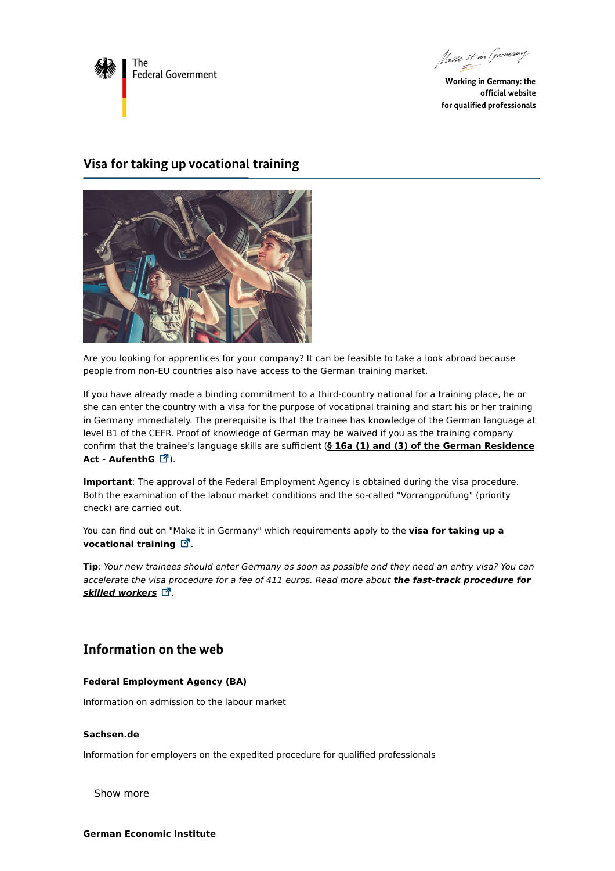

Make it in Germany

**Working in Germany: the official website for qualified professionals**

## **Visa for taking up vocational training**



Are you looking for apprentices for your company? It can be feasible to take a look abroad because people from non-EU countries also have access to the German training market.

If you have already made a binding commitment to a third-country national for a training place, he or she can enter the country with a visa for the purpose of vocational training and start his or her training in Germany immediately. The prerequisite is that the trainee has knowledge of the German language at level B1 of the CEFR. Proof of knowledge of German may be waived if you as the training company confirm that the trainee's language skills are sufficient (**§ 16a (1) and (3) of the German [Residence](http://www.gesetze-im-internet.de/englisch_aufenthg/englisch_aufenthg.html#p0273) Act - AufenthG** ).

**Important**: The approval of the Federal Employment Agency is obtained during the visa procedure. Both the examination of the labour market conditions and the so-called "Vorrangprüfung" (priority check) are carried out.

You can find out on "Make it in Germany" which [requirements](https://www.make-it-in-germany.com/en/visa/kinds-of-visa/training) apply to the **visa for taking up a vocational training**  $\Box$ .

**Tip**: Your new trainees should enter Germany as soon as possible and they need an entry visa? You can accelerate the visa procedure for a fee of 411 euros. Read more about **the fast-track [procedure](https://www.make-it-in-germany.com/en/looking-for-foreign-professionals/targeted-recruitment/entering-working-in-germany/the-fast-track-procedure-for-skilled-workers) for** *skilled* workers  $\vec{a}$ .

## **Information on the web**

## **Federal Employment Agency (BA)**

[Information](https://www.arbeitsagentur.de/en/german-labour-market) on admission to the labour market

## **Sachsen.de**

Information for employers on the expedited procedure for qualified [professionals](https://www.fachkraefte.zuwanderung.sachsen.de/)

Show more